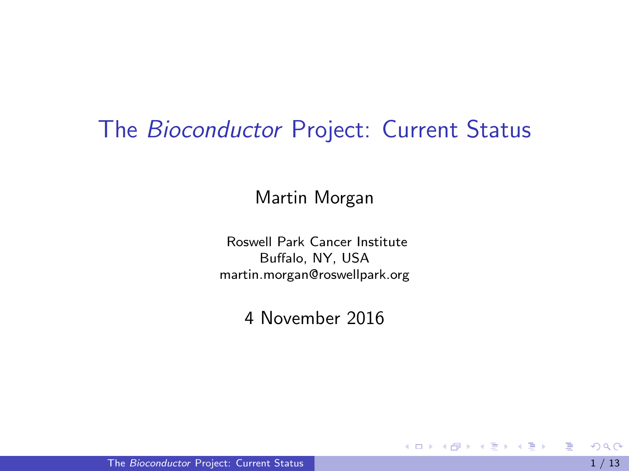#### <span id="page-0-0"></span>The Bioconductor Project: Current Status

Martin Morgan

Roswell Park Cancer Institute Buffalo, NY, USA [martin.morgan@roswellpark.org](mailto:martin.morgan@roswellpark.org)

4 November 2016

目

K ロ ⊁ K 個 ≯ K 君 ⊁ K 君 ≯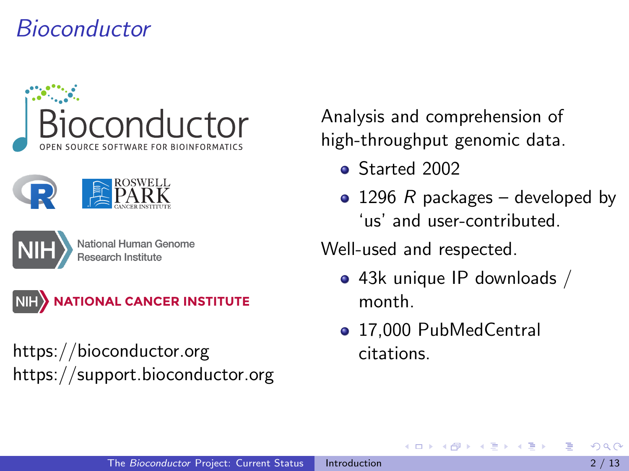## <span id="page-1-0"></span>Bioconductor







National Human Genome



<https://bioconductor.org> <https://support.bioconductor.org> Analysis and comprehension of high-throughput genomic data.

- Started 2002
- 1296 R packages developed by 'us' and user-contributed.

Well-used and respected.

- 43k unique IP downloads / month.
- 17,000 PubMedCentral citations.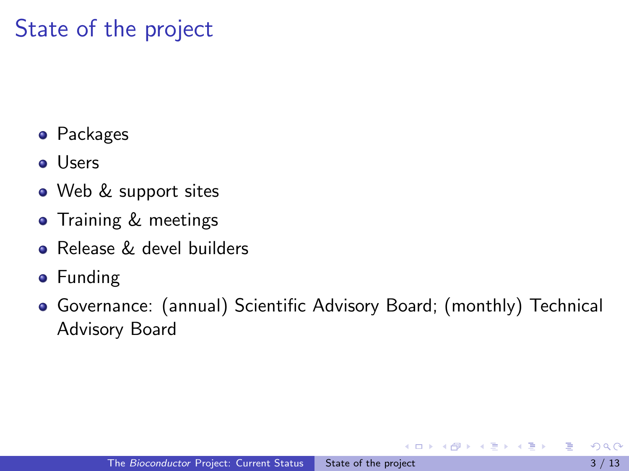# <span id="page-2-0"></span>State of the project

- **•** Packages
- **o** Users
- Web & support sites
- **•** Training & meetings
- **Release & devel builders**
- **•** Funding
- Governance: (annual) Scientific Advisory Board; (monthly) Technical Advisory Board

ミメスミメ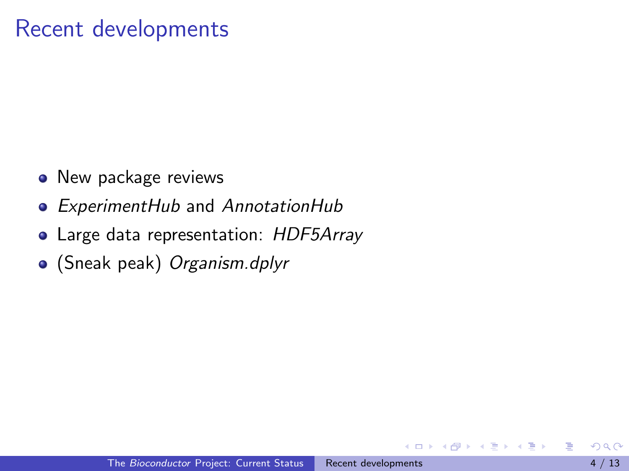#### <span id="page-3-0"></span>Recent developments

- New package reviews
- [ExperimentHub](http://bioconductor.org/packages/ExperimentHub) and [AnnotationHub](http://bioconductor.org/packages/AnnotationHub)
- Large data representation: [HDF5Array](http://bioconductor.org/packages/HDF5Array)
- (Sneak peak) Organism.dplyr

Э×.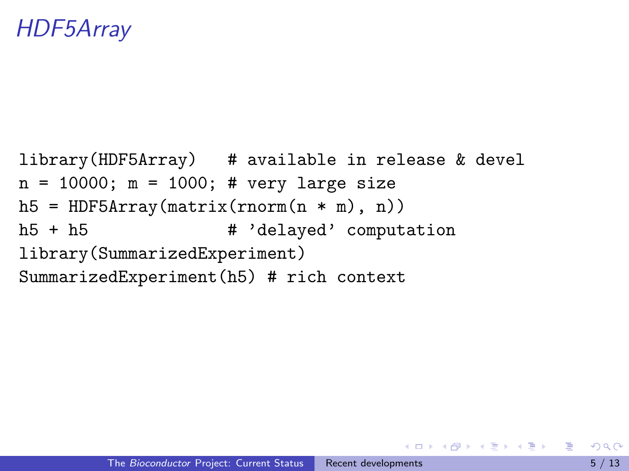## <span id="page-4-0"></span>[HDF5Array](http://bioconductor.org/packages/HDF5Array)

```
library(HDF5Array) # available in release & devel
n = 10000; m = 1000; # very large size
h5 = HDF5Array(matrix(rnorm(n * m), n))h5 + h5 # 'delayed' computation
library(SummarizedExperiment)
SummarizedExperiment(h5) # rich context
```
KORKA ERKER EI VAN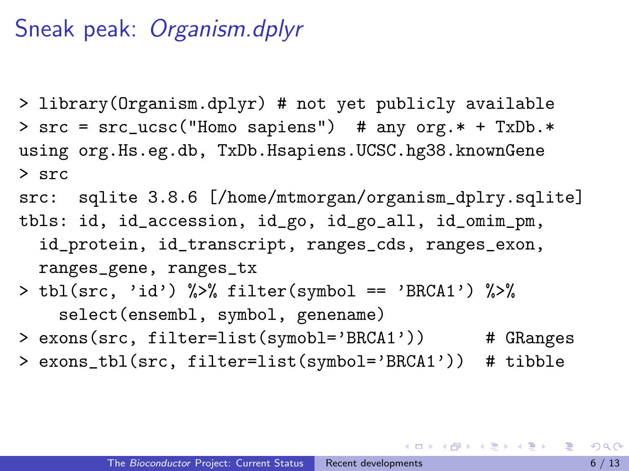#### <span id="page-5-0"></span>Sneak peak: Organism.dplyr

- > library(Organism.dplyr) # not yet publicly available > src = src\_ucsc("Homo sapiens") # any org.\* + TxDb.\* using org.Hs.eg.db, TxDb.Hsapiens.UCSC.hg38.knownGene > src
- src: sqlite 3.8.6 [/home/mtmorgan/organism\_dplry.sqlite]
- tbls: id, id\_accession, id\_go, id\_go\_all, id\_omim\_pm, id\_protein, id\_transcript, ranges\_cds, ranges\_exon, ranges\_gene, ranges\_tx
- > tbl(src, 'id') %>% filter(symbol == 'BRCA1') %>% select(ensembl, symbol, genename)
- > exons(src, filter=list(symobl='BRCA1')) # GRanges
- > exons\_tbl(src, filter=list(symbol='BRCA1')) # tibble

K ロ ▶ K 個 ▶ K 로 ▶ K 로 ▶ - 로 - K 9 Q @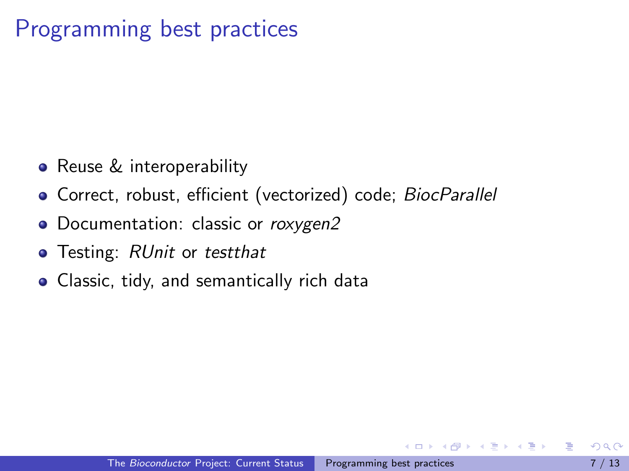## <span id="page-6-0"></span>Programming best practices

- Reuse & interoperability
- Correct, robust, efficient (vectorized) code; [BiocParallel](http://bioconductor.org/packages/BiocParallel)
- Documentation: classic or [roxygen2](http://cran.fhcrc.org/web/packages/roxygen2/index.html)
- Testing: [RUnit](http://cran.fhcrc.org/web/packages/RUnit/index.html) or [testthat](http://cran.fhcrc.org/web/packages/testthat/index.html)
- Classic, tidy, and semantically rich data

化重复 化重变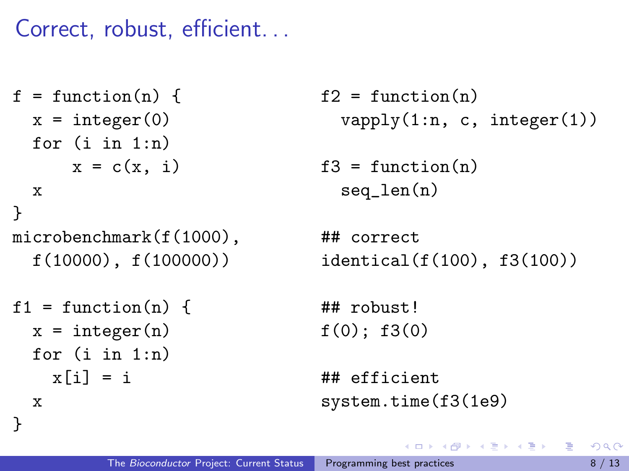<span id="page-7-0"></span>Correct, robust, efficient. . .

```
f = function(n) {
  x =integer(0)for (i in 1:n)
      x = c(x, i)x
}
microbenchmark(f(1000),
  f(10000), f(100000))
```

```
f1 = function(n)x =integer(n)for (i in 1:n)
   x[i] = ix
```
}

```
f2 = function(n)vapply(1:n, c, integer(1))
```

```
f3 = function(n)seq_len(n)
```
## correct identical(f(100), f3(100))

イタト イミト イミト

## robust!  $f(0)$ :  $f3(0)$ 

```
## efficient
system.time(f3(1e9)
```
 $\equiv$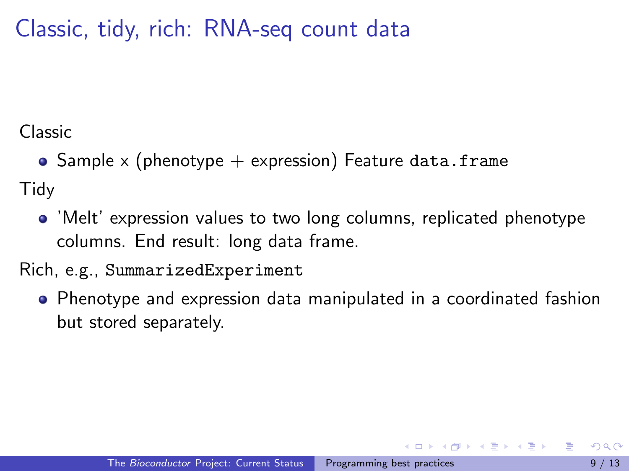<span id="page-8-0"></span>Classic, tidy, rich: RNA-seq count data

Classic

• Sample x (phenotype  $+$  expression) Feature data.frame

**Tidy** 

'Melt' expression values to two long columns, replicated phenotype columns. End result: long data frame.

Rich, e.g., SummarizedExperiment

• Phenotype and expression data manipulated in a coordinated fashion but stored separately.

御 ▶ イ君 ▶ イ君 ▶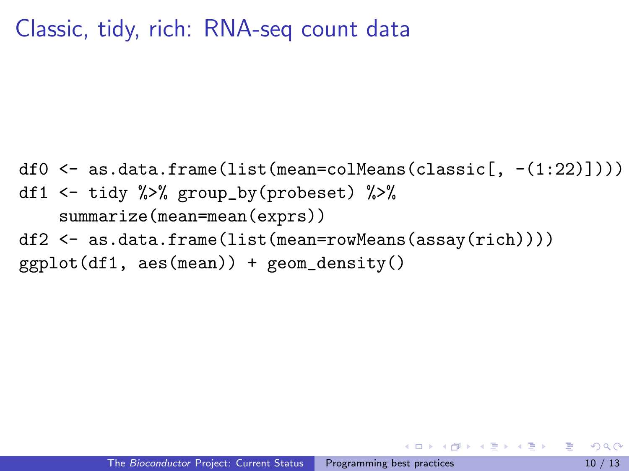#### <span id="page-9-0"></span>Classic, tidy, rich: RNA-seq count data

df0  $\leftarrow$  as.data.frame(list(mean=colMeans(classic[, -(1:22)]))) df1 <- tidy %>% group\_by(probeset) %>% summarize(mean=mean(exprs)) df2 <- as.data.frame(list(mean=rowMeans(assay(rich))))  $ggplot(df1, aes(mean)) + geom-density()$ 

イ母 トラミチ マミチー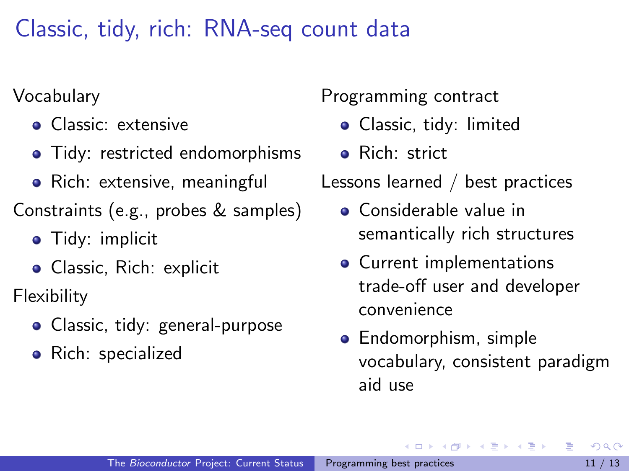<span id="page-10-0"></span>Classic, tidy, rich: RNA-seq count data

Vocabulary

- Classic: extensive
- Tidy: restricted endomorphisms
- Rich: extensive, meaningful
- Constraints (e.g., probes & samples)
	- **•** Tidy: implicit
	- Classic, Rich: explicit

Flexibility

- Classic, tidy: general-purpose
- Rich: specialized

Programming contract

- Classic, tidy: limited
- Rich: strict

Lessons learned / best practices

- Considerable value in semantically rich structures
- Current implementations trade-off user and developer convenience
- **•** Endomorphism, simple vocabulary, consistent paradigm aid use

イロト イ押ト イヨト イヨト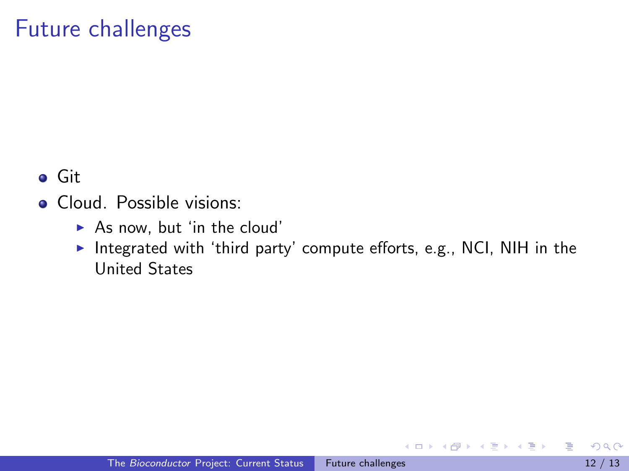### <span id="page-11-0"></span>Future challenges

Git

- **Cloud.** Possible visions:
	- $\blacktriangleright$  As now, but 'in the cloud'
	- Integrated with 'third party' compute efforts, e.g., NCI, NIH in the United States

÷

 $\mathbf{A} \oplus \mathbf{B}$   $\mathbf{A} \oplus \mathbf{B}$   $\mathbf{A} \oplus \mathbf{B}$ 

4 **D** F